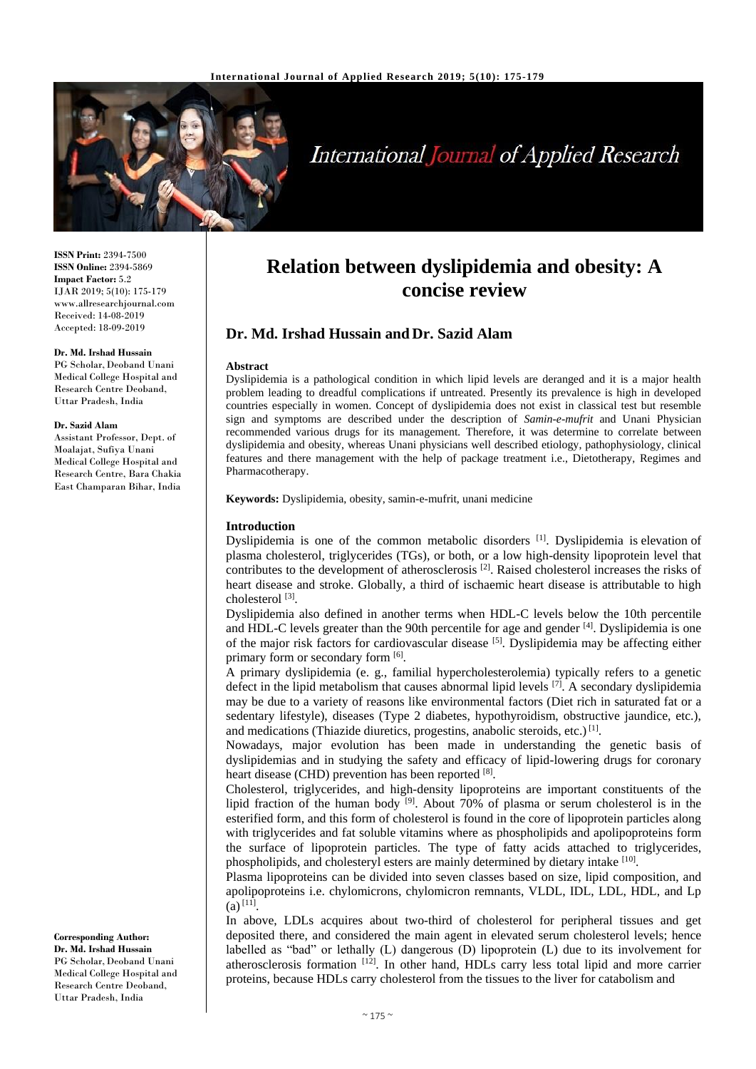

# **International Journal of Applied Research**

**ISSN Print:** 2394-7500 **ISSN Online:** 2394-5869 **Impact Factor:** 5.2 IJAR 2019; 5(10): 175-179 www.allresearchjournal.com Received: 14-08-2019 Accepted: 18-09-2019

#### **Dr. Md. Irshad Hussain**

PG Scholar, Deoband Unani Medical College Hospital and Research Centre Deoband, Uttar Pradesh, India

#### **Dr. Sazid Alam**

Assistant Professor, Dept. of Moalajat, Sufiya Unani Medical College Hospital and Research Centre, Bara Chakia East Champaran Bihar, India

**Corresponding Author: Dr. Md. Irshad Hussain** PG Scholar, Deoband Unani Medical College Hospital and Research Centre Deoband, Uttar Pradesh, India

# **Relation between dyslipidemia and obesity: A concise review**

# **Dr. Md. Irshad Hussain and Dr. Sazid Alam**

#### **Abstract**

Dyslipidemia is a pathological condition in which lipid levels are deranged and it is a major health problem leading to dreadful complications if untreated. Presently its prevalence is high in developed countries especially in women. Concept of dyslipidemia does not exist in classical test but resemble sign and symptoms are described under the description of *Samin-e-mufrit* and Unani Physician recommended various drugs for its management*.* Therefore, it was determine to correlate between dyslipidemia and obesity, whereas Unani physicians well described etiology, pathophysiology, clinical features and there management with the help of package treatment i.e., Dietotherapy, Regimes and Pharmacotherapy.

**Keywords:** Dyslipidemia, obesity, samin-e-mufrit, unani medicine

#### **Introduction**

Dyslipidemia is one of the common metabolic disorders <sup>[1]</sup>. Dyslipidemia is elevation of plasma cholesterol, triglycerides (TGs), or both, or a low high-density lipoprotein level that contributes to the development of atherosclerosis<sup>[2]</sup>. Raised cholesterol increases the risks of heart disease and stroke. Globally, a third of ischaemic heart disease is attributable to high cholesterol [3] .

Dyslipidemia also defined in another terms when HDL-C levels below the 10th percentile and HDL-C levels greater than the 90th percentile for age and gender [4]. Dyslipidemia is one of the major risk factors for cardiovascular disease [5]. Dyslipidemia may be affecting either primary form or secondary form [6].

A primary dyslipidemia (e. g., familial hypercholesterolemia) typically refers to a genetic defect in the lipid metabolism that causes abnormal lipid levels [7]. A secondary dyslipidemia may be due to a variety of reasons like environmental factors (Diet rich in saturated fat or a sedentary lifestyle), diseases (Type 2 diabetes, hypothyroidism, obstructive jaundice, etc.), and medications (Thiazide diuretics, progestins, anabolic steroids, etc.)<sup>[1]</sup>.

Nowadays, major evolution has been made in understanding the genetic basis of dyslipidemias and in studying the safety and efficacy of lipid-lowering drugs for coronary heart disease (CHD) prevention has been reported [8].

Cholesterol, triglycerides, and high-density lipoproteins are important constituents of the lipid fraction of the human body  $[9]$ . About 70% of plasma or serum cholesterol is in the esterified form, and this form of cholesterol is found in the core of lipoprotein particles along with triglycerides and fat soluble vitamins where as phospholipids and apolipoproteins form the surface of lipoprotein particles. The type of fatty acids attached to triglycerides, phospholipids, and cholesteryl esters are mainly determined by dietary intake [10].

Plasma lipoproteins can be divided into seven classes based on size, lipid composition, and apolipoproteins i.e. chylomicrons, chylomicron remnants, VLDL, IDL, LDL, HDL, and Lp  $(a)$ <sup>[11]</sup>.

In above, LDLs acquires about two-third of cholesterol for peripheral tissues and get deposited there, and considered the main agent in elevated serum cholesterol levels; hence labelled as "bad" or lethally (L) dangerous (D) lipoprotein (L) due to its involvement for atherosclerosis formation [12]. In other hand, HDLs carry less total lipid and more carrier proteins, because HDLs carry cholesterol from the tissues to the liver for catabolism and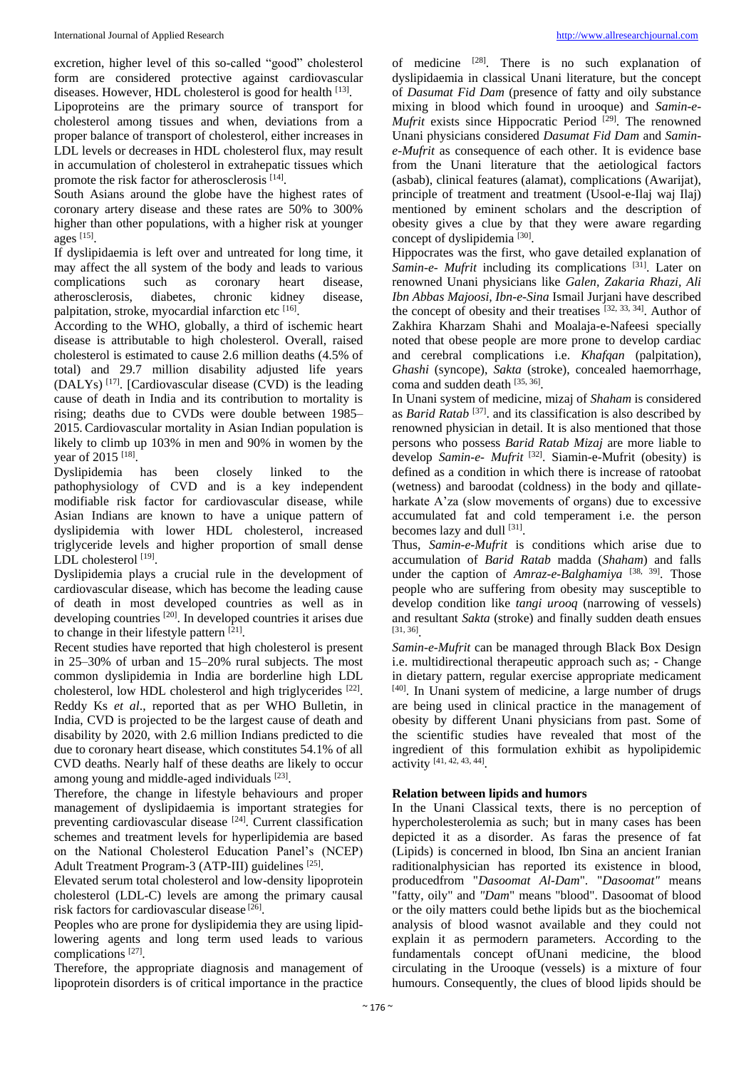excretion, higher level of this so-called "good" cholesterol form are considered protective against cardiovascular diseases. However, HDL cholesterol is good for health <a>[13]</a>.

Lipoproteins are the primary source of transport for cholesterol among tissues and when, deviations from a proper balance of transport of cholesterol, either increases in LDL levels or decreases in HDL cholesterol flux, may result in accumulation of cholesterol in extrahepatic tissues which promote the risk factor for atherosclerosis [14].

South Asians around the globe have the highest rates of coronary artery disease and these rates are 50% to 300% higher than other populations, with a higher risk at younger ages [15] .

If dyslipidaemia is left over and untreated for long time, it may affect the all system of the body and leads to various complications such as coronary heart disease, atherosclerosis, diabetes, chronic kidney disease, palpitation, stroke, myocardial infarction etc [16].

According to the WHO, globally, a third of ischemic heart disease is attributable to high cholesterol. Overall, raised cholesterol is estimated to cause 2.6 million deaths (4.5% of total) and 29.7 million disability adjusted life years  $(DALYs)$ <sup>[17]</sup>. [Cardiovascular disease (CVD) is the leading cause of death in India and its contribution to mortality is rising; deaths due to CVDs were double between 1985– 2015. Cardiovascular mortality in Asian Indian population is likely to climb up 103% in men and 90% in women by the year of 2015 [18].

Dyslipidemia has been closely linked to the pathophysiology of CVD and is a key independent modifiable risk factor for cardiovascular disease, while Asian Indians are known to have a unique pattern of dyslipidemia with lower HDL cholesterol, increased triglyceride levels and higher proportion of small dense LDL cholesterol [19].

Dyslipidemia plays a crucial rule in the development of cardiovascular disease, which has become the leading cause of death in most developed countries as well as in developing countries [20] . In developed countries it arises due to change in their lifestyle pattern [21].

Recent studies have reported that high cholesterol is present in 25–30% of urban and 15–20% rural subjects. The most common dyslipidemia in India are borderline high LDL cholesterol, low HDL cholesterol and high triglycerides [22]. Reddy Ks *et al*., reported that as per WHO Bulletin, in India, CVD is projected to be the largest cause of death and disability by 2020, with 2.6 million Indians predicted to die due to coronary heart disease, which constitutes 54.1% of all CVD deaths. Nearly half of these deaths are likely to occur among young and middle-aged individuals [23].

Therefore, the change in lifestyle behaviours and proper management of dyslipidaemia is important strategies for preventing cardiovascular disease <sup>[24]</sup>. Current classification schemes and treatment levels for hyperlipidemia are based on the National Cholesterol Education Panel's (NCEP) Adult Treatment Program-3 (ATP-III) guidelines <a>[25]</a>.

Elevated serum total cholesterol and low-density lipoprotein cholesterol (LDL-C) levels are among the primary causal risk factors for cardiovascular disease<sup>[26]</sup>.

Peoples who are prone for dyslipidemia they are using lipidlowering agents and long term used leads to various complications [27] .

Therefore, the appropriate diagnosis and management of lipoprotein disorders is of critical importance in the practice

of medicine [28]. There is no such explanation of dyslipidaemia in classical Unani literature, but the concept of *Dasumat Fid Dam* (presence of fatty and oily substance mixing in blood which found in urooque) and *Samin-e-Mufrit* exists since Hippocratic Period <sup>[29]</sup>. The renowned Unani physicians considered *Dasumat Fid Dam* and *Samine-Mufrit* as consequence of each other. It is evidence base from the Unani literature that the aetiological factors (asbab), clinical features (alamat), complications (Awarijat), principle of treatment and treatment (Usool-e-Ilaj waj Ilaj) mentioned by eminent scholars and the description of obesity gives a clue by that they were aware regarding concept of dyslipidemia<sup>[30]</sup>.

Hippocrates was the first, who gave detailed explanation of Samin-e- Mufrit including its complications <sup>[31]</sup>. Later on renowned Unani physicians like *Galen, Zakaria Rhazi, Ali Ibn Abbas Majoosi, Ibn-e-Sina* Ismail Jurjani have described the concept of obesity and their treatises [32, 33, 34]. Author of Zakhira Kharzam Shahi and Moalaja-e-Nafeesi specially noted that obese people are more prone to develop cardiac and cerebral complications i.e. *Khafqan* (palpitation), *Ghashi* (syncope), *Sakta* (stroke), concealed haemorrhage, coma and sudden death [35, 36] .

In Unani system of medicine, mizaj of *Shaham* is considered as *Barid Ratab*<sup>[37]</sup>. and its classification is also described by renowned physician in detail. It is also mentioned that those persons who possess *Barid Ratab Mizaj* are more liable to develop Samin-e- Mufrit<sup>[32]</sup>. Siamin-e-Mufrit (obesity) is defined as a condition in which there is increase of ratoobat (wetness) and baroodat (coldness) in the body and qillateharkate A'za (slow movements of organs) due to excessive accumulated fat and cold temperament i.e. the person becomes lazy and dull [31].

Thus, *Samin-e-Mufrit* is conditions which arise due to accumulation of *Barid Ratab* madda (*Shaham*) and falls under the caption of *Amraz-e-Balghamiya*<sup>[38, 39]</sup>. Those people who are suffering from obesity may susceptible to develop condition like *tangi urooq* (narrowing of vessels) and resultant *Sakta* (stroke) and finally sudden death ensues [31, 36] .

*Samin-e-Mufrit* can be managed through Black Box Design i.e. multidirectional therapeutic approach such as; - Change in dietary pattern, regular exercise appropriate medicament [40] . In Unani system of medicine, a large number of drugs are being used in clinical practice in the management of obesity by different Unani physicians from past. Some of the scientific studies have revealed that most of the ingredient of this formulation exhibit as hypolipidemic activity [41, 42, 43, 44] .

#### **Relation between lipids and humors**

In the Unani Classical texts, there is no perception of hypercholesterolemia as such; but in many cases has been depicted it as a disorder. As faras the presence of fat (Lipids) is concerned in blood, Ibn Sina an ancient Iranian raditionalphysician has reported its existence in blood, producedfrom "*Dasoomat Al-Dam*". "*Dasoomat"* means "fatty, oily" and *"Dam*" means "blood". Dasoomat of blood or the oily matters could bethe lipids but as the biochemical analysis of blood wasnot available and they could not explain it as permodern parameters. According to the fundamentals concept ofUnani medicine, the blood circulating in the Urooque (vessels) is a mixture of four humours. Consequently, the clues of blood lipids should be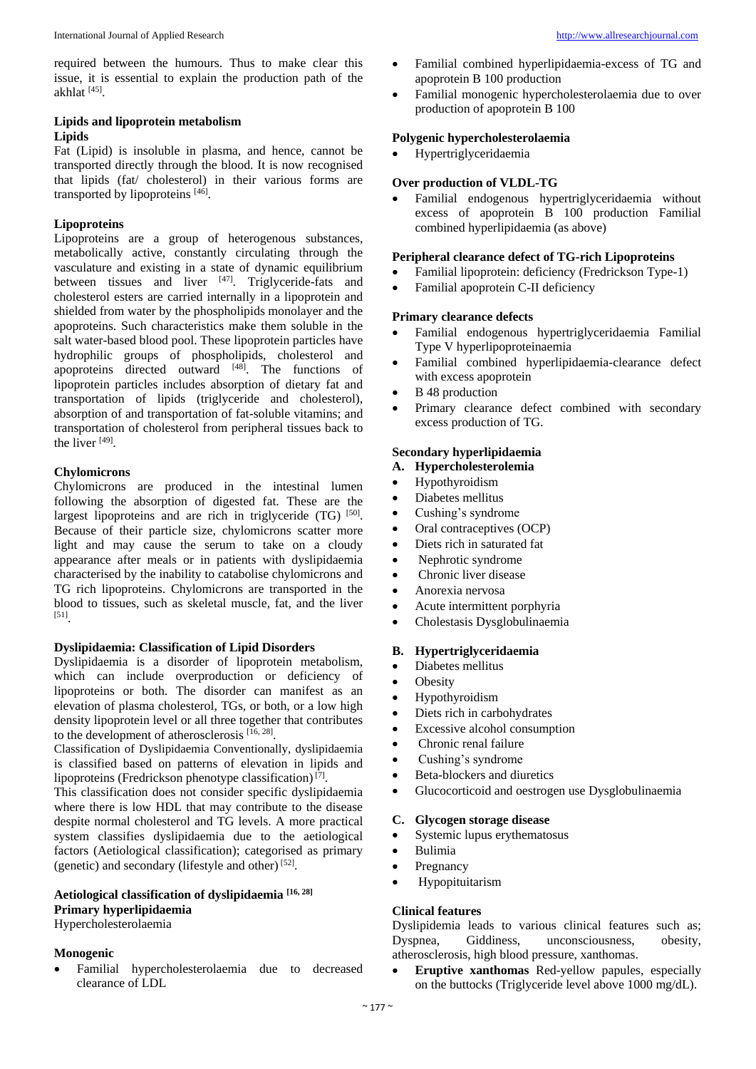required between the humours. Thus to make clear this issue, it is essential to explain the production path of the akhlat [45] .

# **Lipids and lipoprotein metabolism Lipids**

Fat (Lipid) is insoluble in plasma, and hence, cannot be transported directly through the blood. It is now recognised that lipids (fat/ cholesterol) in their various forms are transported by lipoproteins [46].

# **Lipoproteins**

Lipoproteins are a group of heterogenous substances, metabolically active, constantly circulating through the vasculature and existing in a state of dynamic equilibrium between tissues and liver [47]. Triglyceride-fats and cholesterol esters are carried internally in a lipoprotein and shielded from water by the phospholipids monolayer and the apoproteins. Such characteristics make them soluble in the salt water-based blood pool. These lipoprotein particles have hydrophilic groups of phospholipids, cholesterol and apoproteins directed outward [48]. The functions of lipoprotein particles includes absorption of dietary fat and transportation of lipids (triglyceride and cholesterol), absorption of and transportation of fat-soluble vitamins; and transportation of cholesterol from peripheral tissues back to the liver [49] .

## **Chylomicrons**

Chylomicrons are produced in the intestinal lumen following the absorption of digested fat. These are the largest lipoproteins and are rich in triglyceride  $(TG)$  [50]. Because of their particle size, chylomicrons scatter more light and may cause the serum to take on a cloudy appearance after meals or in patients with dyslipidaemia characterised by the inability to catabolise chylomicrons and TG rich lipoproteins. Chylomicrons are transported in the blood to tissues, such as skeletal muscle, fat, and the liver [51] .

#### **Dyslipidaemia: Classification of Lipid Disorders**

Dyslipidaemia is a disorder of lipoprotein metabolism, which can include overproduction or deficiency of lipoproteins or both. The disorder can manifest as an elevation of plasma cholesterol, TGs, or both, or a low high density lipoprotein level or all three together that contributes to the development of atherosclerosis  $[16, 28]$ .

Classification of Dyslipidaemia Conventionally, dyslipidaemia is classified based on patterns of elevation in lipids and lipoproteins (Fredrickson phenotype classification)<sup>[7]</sup>.

This classification does not consider specific dyslipidaemia where there is low HDL that may contribute to the disease despite normal cholesterol and TG levels. A more practical system classifies dyslipidaemia due to the aetiological factors (Aetiological classification); categorised as primary (genetic) and secondary (lifestyle and other) $[52]$ .

# **Aetiological classification of dyslipidaemia [16, 28]**

**Primary hyperlipidaemia**

Hypercholesterolaemia

#### **Monogenic**

 Familial hypercholesterolaemia due to decreased clearance of LDL

- Familial combined hyperlipidaemia-excess of TG and apoprotein B 100 production
- Familial monogenic hypercholesterolaemia due to over production of apoprotein B 100

#### **Polygenic hypercholesterolaemia**

Hypertriglyceridaemia

## **Over production of VLDL-TG**

 Familial endogenous hypertriglyceridaemia without excess of apoprotein B 100 production Familial combined hyperlipidaemia (as above)

#### **Peripheral clearance defect of TG-rich Lipoproteins**

- Familial lipoprotein: deficiency (Fredrickson Type-1)
- Familial apoprotein C-II deficiency

#### **Primary clearance defects**

- Familial endogenous hypertriglyceridaemia Familial Type V hyperlipoproteinaemia
- Familial combined hyperlipidaemia-clearance defect with excess apoprotein
- B 48 production
- Primary clearance defect combined with secondary excess production of TG.

# **Secondary hyperlipidaemia**

- **A. Hypercholesterolemia**
- Hypothyroidism
- Diabetes mellitus
- Cushing's syndrome
- Oral contraceptives (OCP)
- Diets rich in saturated fat
- Nephrotic syndrome
- Chronic liver disease
- Anorexia nervosa
- Acute intermittent porphyria
- Cholestasis Dysglobulinaemia

#### **B. Hypertriglyceridaemia**

- Diabetes mellitus
- Obesity
- Hypothyroidism
- Diets rich in carbohydrates
- Excessive alcohol consumption
- Chronic renal failure
- Cushing's syndrome
- Beta-blockers and diuretics
- Glucocorticoid and oestrogen use Dysglobulinaemia

#### **C. Glycogen storage disease**

- Systemic lupus erythematosus
- Bulimia
- Pregnancy
- Hypopituitarism

#### **Clinical features**

Dyslipidemia leads to various clinical features such as; Dyspnea, Giddiness, unconsciousness, obesity, atherosclerosis, high blood pressure, xanthomas.

 **Eruptive xanthomas** Red-yellow papules, especially on the buttocks (Triglyceride level above 1000 mg/dL).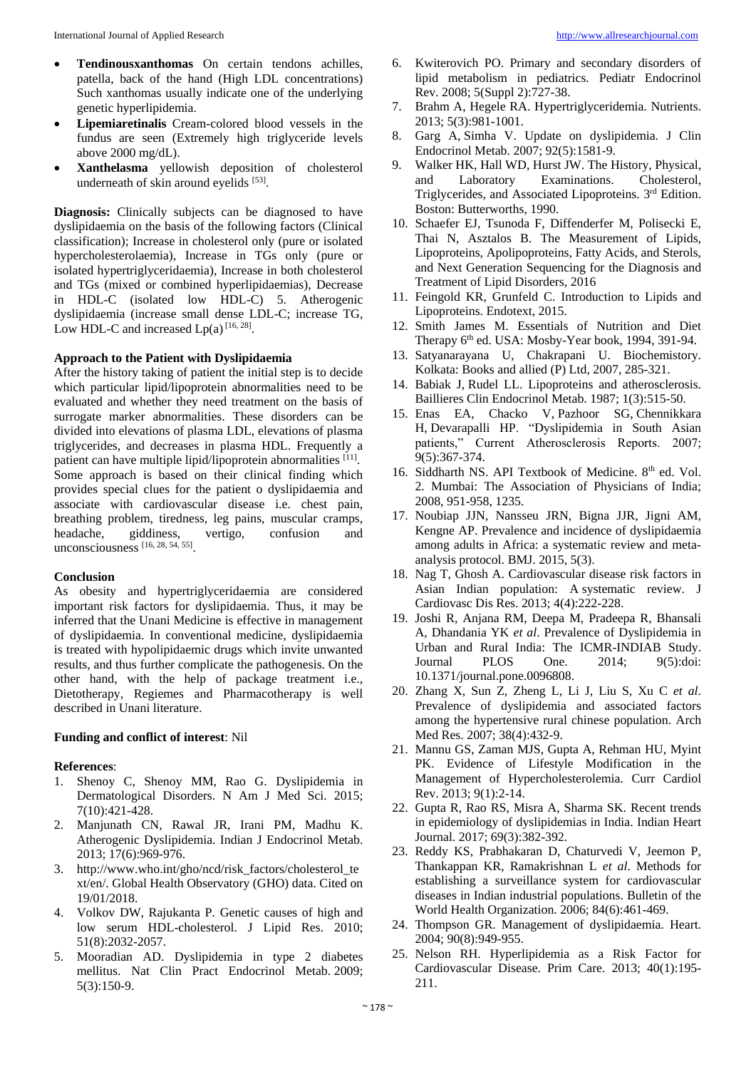- **Tendinousxanthomas** On certain tendons achilles, patella, back of the hand (High LDL concentrations) Such xanthomas usually indicate one of the underlying genetic hyperlipidemia.
- **Lipemiaretinalis** Cream-colored blood vessels in the fundus are seen (Extremely high triglyceride levels above 2000 mg/dL).
- **Xanthelasma** yellowish deposition of cholesterol underneath of skin around eyelids [53].

**Diagnosis:** Clinically subjects can be diagnosed to have dyslipidaemia on the basis of the following factors (Clinical classification); Increase in cholesterol only (pure or isolated hypercholesterolaemia), Increase in TGs only (pure or isolated hypertriglyceridaemia), Increase in both cholesterol and TGs (mixed or combined hyperlipidaemias), Decrease in HDL-C (isolated low HDL-C) 5. Atherogenic dyslipidaemia (increase small dense LDL-C; increase TG, Low HDL-C and increased  $Lp(a)$ <sup>[16, 28]</sup>.

# **Approach to the Patient with Dyslipidaemia**

After the history taking of patient the initial step is to decide which particular lipid/lipoprotein abnormalities need to be evaluated and whether they need treatment on the basis of surrogate marker abnormalities. These disorders can be divided into elevations of plasma LDL, elevations of plasma triglycerides, and decreases in plasma HDL. Frequently a patient can have multiple lipid/lipoprotein abnormalities [11]. Some approach is based on their clinical finding which provides special clues for the patient o dyslipidaemia and associate with cardiovascular disease i.e. chest pain, breathing problem, tiredness, leg pains, muscular cramps, headache, giddiness, vertigo, confusion and unconsciousness  $[16, 28, 54, 55]$ .

#### **Conclusion**

As obesity and hypertriglyceridaemia are considered important risk factors for dyslipidaemia. Thus, it may be inferred that the Unani Medicine is effective in management of dyslipidaemia. In conventional medicine, dyslipidaemia is treated with hypolipidaemic drugs which invite unwanted results, and thus further complicate the pathogenesis. On the other hand, with the help of package treatment i.e., Dietotherapy, Regiemes and Pharmacotherapy is well described in Unani literature.

#### **Funding and conflict of interest**: Nil

#### **References**:

- 1. Shenoy C, Shenoy MM, Rao G. Dyslipidemia in Dermatological Disorders. N Am J Med Sci. 2015; 7(10):421-428.
- 2. Manjunath CN, Rawal JR, Irani PM, Madhu K. Atherogenic Dyslipidemia. Indian J Endocrinol Metab. 2013; 17(6):969-976.
- 3. http://www.who.int/gho/ncd/risk\_factors/cholesterol\_te xt/en/. Global Health Observatory (GHO) data. Cited on 19/01/2018.
- 4. Volkov DW, Rajukanta P. Genetic causes of high and low serum HDL-cholesterol. J Lipid Res. 2010; 51(8):2032-2057.
- 5. Mooradian AD. Dyslipidemia in type 2 diabetes mellitus. Nat Clin Pract Endocrinol Metab. 2009; 5(3):150-9.
- 6. Kwiterovich PO. Primary and secondary disorders of lipid metabolism in pediatrics. Pediatr Endocrinol Rev. 2008; 5(Suppl 2):727-38.
- 7. Brahm A, Hegele RA. Hypertriglyceridemia. Nutrients. 2013; 5(3):981-1001.
- 8. Garg A, Simha V. Update on dyslipidemia. J Clin Endocrinol Metab. 2007; 92(5):1581-9.
- 9. Walker HK, Hall WD, Hurst JW. The History, Physical, and Laboratory Examinations. Cholesterol. and Laboratory Examinations. Triglycerides, and Associated Lipoproteins. 3<sup>rd</sup> Edition. Boston: Butterworths, 1990.
- 10. Schaefer EJ, Tsunoda F, Diffenderfer M, Polisecki E, Thai N, Asztalos B. The Measurement of Lipids, Lipoproteins, Apolipoproteins, Fatty Acids, and Sterols, and Next Generation Sequencing for the Diagnosis and Treatment of Lipid Disorders, 2016
- 11. Feingold KR, Grunfeld C. Introduction to Lipids and Lipoproteins. Endotext, 2015.
- 12. Smith James M. Essentials of Nutrition and Diet Therapy 6<sup>th</sup> ed. USA: Mosby-Year book, 1994, 391-94.
- 13. Satyanarayana U, Chakrapani U. Biochemistory. Kolkata: Books and allied (P) Ltd, 2007, 285-321.
- 14. Babiak J, Rudel LL. Lipoproteins and atherosclerosis. Baillieres Clin Endocrinol Metab. 1987; 1(3):515-50.
- 15. Enas EA, Chacko V, Pazhoor SG, Chennikkara H, Devarapalli HP. "Dyslipidemia in South Asian patients," Current Atherosclerosis Reports. 2007; 9(5):367-374.
- 16. Siddharth NS. API Textbook of Medicine. 8<sup>th</sup> ed. Vol. 2. Mumbai: The Association of Physicians of India; 2008, 951-958, 1235.
- 17. Noubiap JJN, Nansseu JRN, Bigna JJR, Jigni AM, Kengne AP. Prevalence and incidence of dyslipidaemia among adults in Africa: a systematic review and metaanalysis protocol. BMJ. 2015, 5(3).
- 18. Nag T, Ghosh A. Cardiovascular disease risk factors in Asian Indian population: A systematic review. J Cardiovasc Dis Res. 2013; 4(4):222-228.
- 19. Joshi R, Anjana RM, Deepa M, Pradeepa R, Bhansali A, Dhandania YK *et al*. Prevalence of Dyslipidemia in Urban and Rural India: The ICMR-INDIAB Study. Journal PLOS One. 2014; 9(5):doi: 10.1371/journal.pone.0096808.
- 20. Zhang X, Sun Z, Zheng L, Li J, Liu S, Xu C *et al*. Prevalence of dyslipidemia and associated factors among the hypertensive rural chinese population. Arch Med Res. 2007; 38(4):432-9.
- 21. Mannu GS, Zaman MJS, Gupta A, Rehman HU, Myint PK. Evidence of Lifestyle Modification in the Management of Hypercholesterolemia. Curr Cardiol Rev. 2013; 9(1):2-14.
- 22. Gupta R, Rao RS, Misra A, Sharma SK. Recent trends in epidemiology of dyslipidemias in India. Indian Heart Journal. 2017; 69(3):382-392.
- 23. Reddy KS, Prabhakaran D, Chaturvedi V, Jeemon P, Thankappan KR, Ramakrishnan L *et al*. Methods for establishing a surveillance system for cardiovascular diseases in Indian industrial populations. Bulletin of the World Health Organization. 2006; 84(6):461-469.
- 24. Thompson GR. Management of dyslipidaemia. Heart. 2004; 90(8):949-955.
- 25. Nelson RH. Hyperlipidemia as a Risk Factor for Cardiovascular Disease. Prim Care. 2013; 40(1):195- 211.